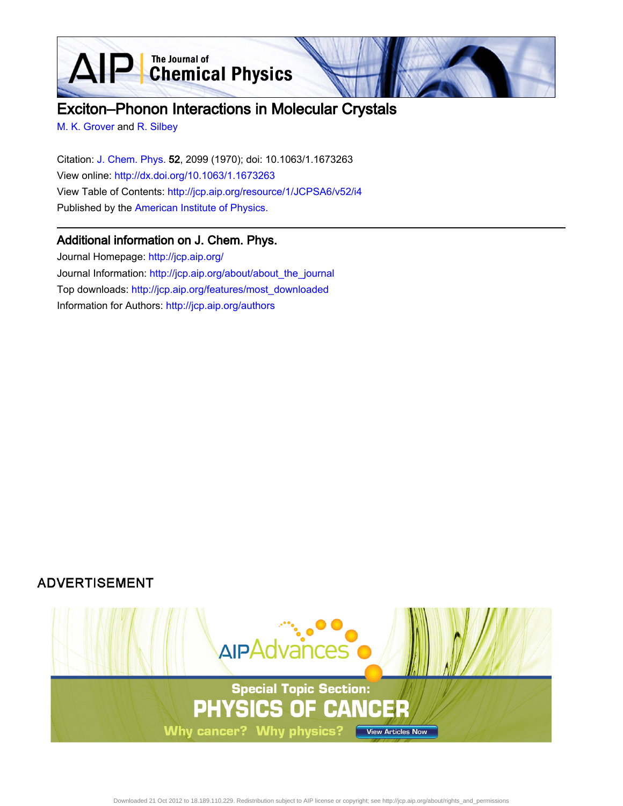**D** The Journal of<br> **Chemical Physics** 

# Exciton–Phonon Interactions in Molecular Crystals

[M. K. Grover](http://jcp.aip.org/search?sortby=newestdate&q=&searchzone=2&searchtype=searchin&faceted=faceted&key=AIP_ALL&possible1=M. K. Grover&possible1zone=author&alias=&displayid=AIP&ver=pdfcov) and [R. Silbey](http://jcp.aip.org/search?sortby=newestdate&q=&searchzone=2&searchtype=searchin&faceted=faceted&key=AIP_ALL&possible1=R. Silbey&possible1zone=author&alias=&displayid=AIP&ver=pdfcov)

 $\Delta$ 

Citation: [J. Chem. Phys. 5](http://jcp.aip.org/?ver=pdfcov)2, 2099 (1970); doi: 10.1063/1.1673263 View online: [http://dx.doi.org/10.1063/1.1673263](http://link.aip.org/link/doi/10.1063/1.1673263?ver=pdfcov) View Table of Contents: [http://jcp.aip.org/resource/1/JCPSA6/v52/i4](http://jcp.aip.org/resource/1/JCPSA6/v52/i4?ver=pdfcov) Published by the [American Institute of Physics.](http://www.aip.org/?ver=pdfcov)

## Additional information on J. Chem. Phys.

Journal Homepage: [http://jcp.aip.org/](http://jcp.aip.org/?ver=pdfcov) Journal Information: [http://jcp.aip.org/about/about\\_the\\_journal](http://jcp.aip.org/about/about_the_journal?ver=pdfcov) Top downloads: [http://jcp.aip.org/features/most\\_downloaded](http://jcp.aip.org/features/most_downloaded?ver=pdfcov) Information for Authors: [http://jcp.aip.org/authors](http://jcp.aip.org/authors?ver=pdfcov)

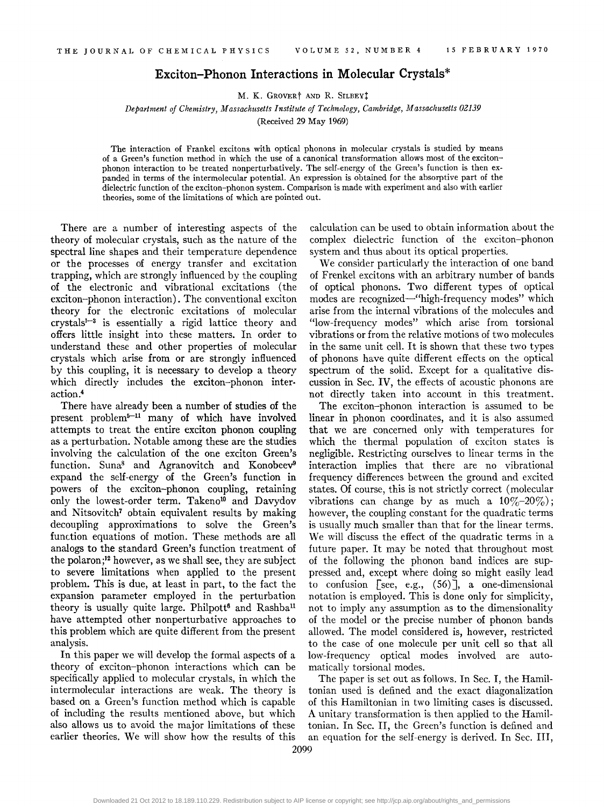### **Exciton-Phonon Interactions in Molecular Crystals\***

M. K. GROVER<sup>†</sup> AND R. SILBEY<sup>†</sup>

*Department of Chemistry, Massachusetts Institute of Technology, Cambridge, Massachusetts 02139* 

(Received 29 May 1969)

The interaction of Frankel excitons with optical phonons in molecular crystals is studied by means of a Green's function method in which the use of a canonical transformation allows most of the excitonphonon interaction to be treated nonperturbatively. The self-energy of the Green's function is then expanded in terms of the intermolecular potential. An expression is obtained for the absorptive part of the dielectric function of the exciton-phonon system. Comparison is made with experiment and also with earlier theories, some of the limitations of which are pointed out.

theory of molecular crystals, such as the nature of the complex dielectric function of the exciton-phonon spectral line shapes and their temperature dependence system and thus about its optical properties. spectral line shapes and their temperature dependence system and thus about its optical properties.<br>or the processes of energy transfer and excitation We consider particularly the interaction of one band or the processes of energy transfer and excitation We consider particularly the interaction of one band<br>trapping, which are strongly influenced by the coupling of Frenkel excitons with an arbitrary number of bands trapping, which are strongly influenced by the coupling of Frenkel excitons with an arbitrary number of bands<br>of the electronic and vibrational excitations (the of optical phonons. Two different types of optical of the electronic and vibrational excitations (the of optical phonons. Two different types of optical exciton-phonon interaction). The conventional exciton modes are recognized—"high-frequency modes" which exciton-phonon interaction). The conventional exciton theory for the electronic excitations of molecular arise from the internal vibrations of the molecules and crystals<sup>1-3</sup> is essentially a rigid lattice theory and "low-frequency modes" which arise from torsional offers little insight into these matters. In order to vibrations or from the relative motions of two molecules understand these and other properties of molecular in the same unit cell. It is shown that these two types crystals which arise from or are strongly influenced of phonons have quite different effects on the optical by this coupling, it is necessary to develop a theory spectrum of the solid. Except for a qualitative diswhich directly includes the exciton-phonon inter- cussion in Sec. IV, the effects of acoustic phonons are action.<sup>4</sup> not directly taken into account in this treatment.

There have already been a number of studies of the The exciton-phonon interaction is assumed to be present problem<sup>5-11</sup> many of which have involved linear in phonon coordinates, and it is also assumed attempts to treat the entire exciton phonon coupling that we are concerned only with temperatures for as a perturbation. Notable among these are the studies which the thermal population of exciton states is involving the calculation of the one exciton Green's negligible. Restricting ourselves to linear terms in the function. Suna<sup>8</sup> and Agranovitch and Konobeev<sup>9</sup> interaction implies that there are no vibrational expand the self-energy of the Green's function in frequency differences between the ground and excited powers of the exciton-phonon coupling, retaining states. Of course, this is not strictly correct (molecular only the lowest-order term. Takeno<sup>10</sup> and Davydov vibrations can change by as much a  $10\%$ -20%); and Nitsovitch<sup>7</sup> obtain equivalent results by making however, the coupling constant for the quadratic terms decoupling approximations to solve the Green's is usually much smaller than that for the linear terms. function equations of motion. These methods are all We will discuss the effect of the quadratic terms in a analogs to the standard Green's function treatment of future paper. It may be noted that throughout most the polaron;12 however, as we shall see, they are subject of the following the phonon band indices are supto severe limitations when applied to the present pressed and, except where doing so might easily lead problem. This is due, at least in part, to the fact the to confusion [see, e.g., (56)], a one-dimensional expansion parameter employed in the perturbation notation is employed. This is done only for simplicity, theory is usually quite large. Philpott<sup>6</sup> and Rashba<sup>ll</sup> not to imply any assumption as to the dimensionality have attempted other nonperturbative approaches to of the model or the precise number of phonon bands this problem which are quite different from the present allowed. The model considered is, however, restricted analysis. to the case of one molecule per unit cell so that all

theory of exciton-phonon interactions which can be matically torsional modes. specifically applied to molecular crystals, in which the The paper is set out as follows. In Sec. I, the Hamilintermolecular interactions are weak. The theory is tonian used is defined and the exact diagonalization based on a Green's function method which is capable of this Hamiltonian in two limiting cases is discussed. of including the results mentioned above, but which A unitary transformation is then applied to the Hamilalso allows us to avoid the major limitations of these tonian. In Sec. II, the Green's function is defined and earlier theories. We will show how the results of this an equation for the self-energy is derived. In Sec. III,

There are a number of interesting aspects of the calculation can be used to obtain information about the

vibrations or from the relative motions of two molecules not directly taken into account in this treatment.

linear in phonon coordinates, and it is also assumed vibrations can change by as much a  $10\%$ -20%); In this paper we will develop the formal aspects of a low-frequency optical modes involved are auto-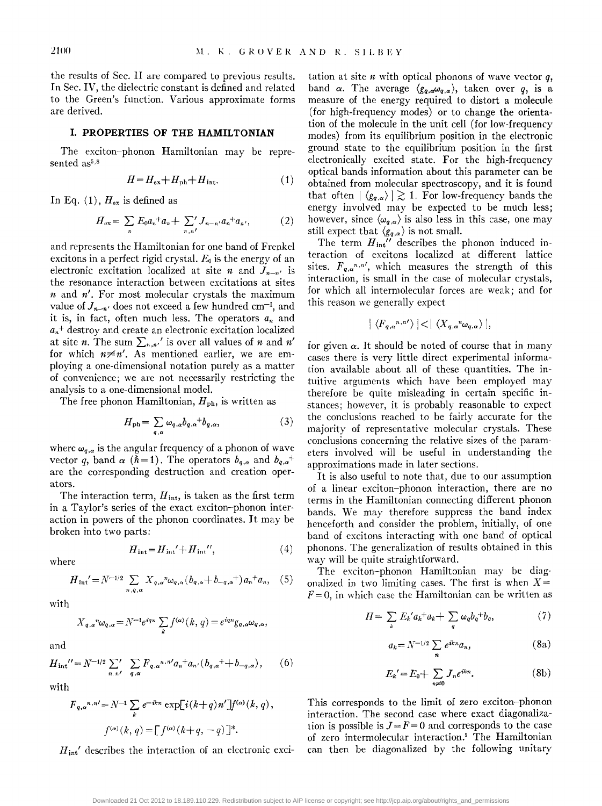the results of Sec. 11 are compared to previous results. In Sec. IV, the dielectric constant is defined and related to the Green's function. Various approximate forms are derived.

### **1. PROPERTIES OF THE HAMILTONIAN**

The exciton~phonon Hamiltonian may be represented  $as<sup>5,8</sup>$ 

$$
H = H_{\text{ex}} + H_{\text{ph}} + H_{\text{int}}.\tag{1}
$$

In Eq.  $(1)$ ,  $H_{ex}$  is defined as

$$
H_{\rm ex} = \sum_{n} E_0 a_n^+ a_n + \sum_{n,n'} J_{n-n'} a_n^+ a_{n'}, \qquad (2)
$$

and represents the Hamiltonian for one band of Frenkel excitons in a perfect rigid crystal. *Eo* is the energy of an electronic excitation localized at site *n* and  $J_{n-n'}$  is the resonance interaction between excitations at sites  $n$  and  $n'$ . For most molecular crystals the maximum value of  $J_{n-n'}$  does not exceed a few hundred cm<sup>-1</sup>, and it is, in fact, often much less. The operators  $a_n$  and  $a_n$ <sup>+</sup> destroy and create an electronic excitation localized at site *n*. The sum  $\sum_{n,n'}$  is over all values of *n* and *n'* for which  $n \neq n'$ . As mentioned earlier, we are employing a one-dimensional notation purely as a matter of convenience; we are not necessarily restricting the analysis to a one-dimensional model.

The free phonon Hamiltonian,  $H_{\rm ph}$ , is written as

$$
H_{\rm ph} = \sum_{q,\alpha} \omega_{q,\alpha} b_{q,\alpha} + b_{q,\alpha}, \qquad (3)
$$

where  $\omega_{q,\alpha}$  is the angular frequency of a phonon of wave vector *q*, band  $\alpha$  ( $\hbar$  = 1). The operators  $b_{q,\alpha}$  and  $b_{q,\alpha}$ <sup>+</sup> are the corresponding destruction and creation operators.

The interaction term,  $H_{int}$ , is taken as the first term in a Taylor's series of the exact exciton~phonon interaction in powers of the phonon coordinates. It may be broken into two parts:

$$
H_{\rm int} = H_{\rm int}{}' + H_{\rm int}{}''
$$
\n<sup>(4)</sup>

where

$$
H_{\rm int} = N^{-1/2} \sum_{n,q,\alpha} X_{q,\alpha}^{\ \ n} \omega_{q,\alpha} (b_{q,\alpha} + b_{-q,\alpha} + a_{n,\alpha} + a_{n,\alpha}) \tag{5}
$$

with

$$
X_{q,\alpha}^{\ n}\omega_{q,\alpha} = N^{-1}e^{iqn} \sum_{k} f^{(\alpha)}(k, q) = e^{iqn}g_{q,\alpha}\omega_{q,\alpha},
$$

and

$$
H_{\rm int}^{\prime\prime} = N^{-1/2} \sum_{n,n'} \sum_{q,\alpha} F_{q,\alpha}^{n,n'} a_n^+ a_{n'} (b_{q,\alpha}^+ + b_{-q,\alpha}), \qquad (6)
$$

with

$$
F_{q,\alpha}{}^{n,n'} = N^{-1} \sum_{k} e^{-ikn} \exp[i(k+q)n'] f^{(\alpha)}(k, q),
$$
  

$$
f^{(\alpha)}(k, q) = [f^{(\alpha)}(k+q, -q)]^*.
$$

 $H_{int}'$  describes the interaction of an electronic exci-

tation at site  $n$  with optical phonons of wave vector  $q$ , band  $\alpha$ . The average  $\langle g_{q,\alpha}\omega_{q,\alpha} \rangle$ , taken over  $q$ , is a measure of the energy required to distort a molecule (for high-frequency modes) or to change the orientation of the molecule in the unit cell (for low-frequency modes) from its equilibrium position in the electronic ground state to the equilibrium position in the first electronically excited state. For the high-frequency optical bands information about this parameter can be obtained from molecular spectroscopy, and it is found that often  $|\langle g_{q,\alpha} \rangle| \gtrsim 1$ . For low-frequency bands the energy involved may be expected to be much less; however, since  $\langle \omega_{\alpha,\alpha} \rangle$  is also less in this case, one may still expect that  $\langle g_{q,\alpha} \rangle$  is not small.

The term  $H_{\text{int}}$ " describes the phonon induced interaction of excitons localized at different lattice sites.  $F_{q,a}^{n,n'}$ , which measures the strength of this interaction, is small in the case of molecular crystals, for which all intermolecular forces are weak; and for this reason we generally expect

$$
|\langle F_{q,\alpha}{}^{n,n'}\rangle| < |\langle X_{q,\alpha}{}^{n}\omega_{q,\alpha}\rangle|,
$$

for given  $\alpha$ . It should be noted of course that in many cases there is very little direct experimental information available about all of these quantities. The intuitive arguments which have been employed may therefore be quite misleading in certain specific instances; however, it is probably reasonable to expect the conclusions reached to be fairly accurate for the majority of representative molecular crystals. These conclusions concerning the relative sizes of the parameters involved will be useful in understanding the approximations made in later sections,

It is also useful to note that, due to our assumption of a linear exciton~phonon interaction, there are no terms in the Hamiltonian connecting different phonon bands. We may therefore suppress the band index henceforth and consider the problem, initially, of one band of excitons interacting with one band of optical phonons. The generalization of results obtained in this way will be quite straightforward.

The exciton~phonon Hamiltonian may be diagonalized in two limiting cases. The first is when  $X =$  $F=0$ , in which case the Hamiltonian can be written as

$$
H = \sum_{k} E_{k}' a_{k} + a_{k} + \sum_{q} \omega_{q} b_{q} + b_{q}, \qquad (7)
$$

$$
a_k = N^{-1/2} \sum_{n} e^{ikn} a_n, \qquad (8a)
$$

$$
E_k' = E_0 + \sum_{n \neq 0} J_n e^{ikn}.
$$
 (8b)

This corresponds to the limit of zero exciton~phonon interaction. The second case where exact diagonalization is possible is  $J = F = 0$  and corresponds to the case of zero intermolecular interaction.5 The Hamiltonian can then be diagonalized by the following unitary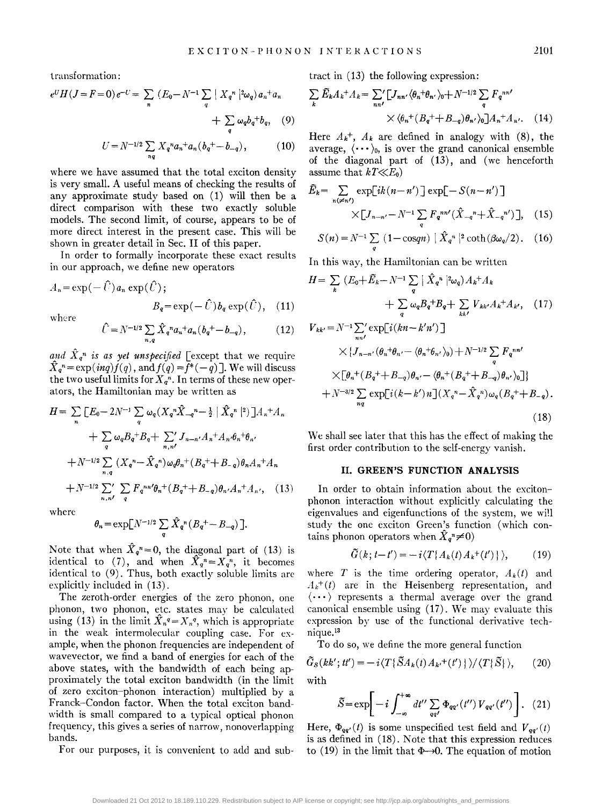transformation:

$$
e^{U}H(J=F=0)e^{-U} = \sum_{n} (E_0 - N^{-1} \sum_{q} |X_{q^n}|^2 \omega_q) a_n^+ a_n + \sum_{q} \omega_q b_q^+ b_q, \quad (9)
$$

$$
U = N^{-1/2} \sum_{nq} X_q^n a_n^+ a_n (b_q^+ - b_{-q}), \qquad (10)
$$

where we have assumed that the total exciton density is very small. A useful means of checking the results of any approximate study based on (1) will then be a direct comparison with these two exactly soluble models. The second limit, of course, appears to be of more direct interest in the present case. This will be shown in greater detail in Sec. II of this paper.

In order to formally incorporate these exact results in our approach, we define new operators

$$
A_n = \exp(-\hat{U}) a_n \exp(\hat{U});
$$
  

$$
B_q = \exp(-\hat{U}) b_q \exp(\hat{U}), \quad (11)
$$

where

$$
\hat{C} = N^{-1/2} \sum_{n,q} \hat{X}_q^n a_n + a_n (b_q + -b_{-q}), \qquad (12)
$$

and  $\hat{X}_{q^n}$  is as yet unspecified [except that we require  $\hat{X}_q^* = \exp(i n q) f(q)$ , and  $f(q) = \overline{f}^*(-q)$ . We will discuss the two useful limits for  $X_{q^n}$ . In terms of these new operators, the Hamiltonian may be written as

$$
H = \sum_{n} \left[ E_{0} - 2N^{-1} \sum_{q} \omega_{q} (X_{q}^{n} \hat{X}_{-q}^{n} - \frac{1}{2} \left| \hat{X}_{q}^{n} \right|^{2}) \right] A_{n} + A_{n}
$$
  
+ 
$$
\sum_{q} \omega_{q} B_{q}^{+} B_{q} + \sum_{n,n'}' J_{n-n'} A_{n}^{+} A_{n'} \theta_{n}^{+} \theta_{n'}
$$
  
+ 
$$
N^{-1/2} \sum_{n,q} (X_{q}^{n} - \hat{X}_{q}^{n}) \omega_{q} \theta_{n}^{+} (B_{q}^{+} + B_{-q}) \theta_{n} A_{n}^{+} A_{n}
$$
  
+ 
$$
N^{-1/2} \sum_{n,n'} \sum_{q} F_{q}^{nn'} \theta_{n}^{+} (B_{q}^{+} + B_{-q}) \theta_{n'} A_{n}^{+} A_{n'}, \quad (13)
$$

where

$$
\theta_n = \exp[N^{-1/2} \sum_q \hat{X}_q{}^n (B_q{}^+ - B_{-q})].
$$

Note that when  $\hat{X}_q^n=0$ , the diagonal part of (13) is identical to (7), and when  $\hat{X}_q^n = X_q^n$ , it becomes identical to (9). Thus, both exactly soluble limits arc explicitly included in (13).

The zeroth-order energies of the zero phonon, one phonon, two phonon, etc. states may be calculated using (13) in the limit  $\hat{X}_n^q = X_n^q$ , which is appropriate in the weak intermolecular coupling case. For example, when the phonon frequencies are independent of wavevector, we find a band of energies for each of the above states, with the bandwidth of each being approximately the total exciton bandwidth (in the limit of zero exciton-phonon interaction) multiplied by a Franck-Condon factor. When the total exciton bandwidth is small compared to a typical optical phonon frequency, this gives a series of narrow, nonoverlapping bands.

For our purposes, it is convenient to add and sub-

tract in (13) the following expression:

$$
\sum_{k} \widetilde{E}_{k} A_{k} + A_{k} = \sum_{nn'} \left[ J_{nn'} \langle \theta_{n} + \theta_{n'} \rangle_{0} + N^{-1/2} \sum_{q} F_{q}^{nn'} \right] \times \langle \theta_{n} + (B_{q} + + B_{-q}) \theta_{n'} \rangle_{0} \right] A_{n} + A_{n'}.
$$
 (14)

Here  $A_k^+$ ,  $A_k$  are defined in analogy with (8), the average,  $\langle \cdots \rangle_0$ , is over the grand canonical ensemble of the diagonal part of (13), and (we henceforth assume that  $kT \ll E_0$ )

$$
\tilde{E}_k = \sum_{n(\neq n')} \exp[ik(n-n')] \exp[-S(n-n')]
$$
  
 
$$
\times [J_{n-n'} - N^{-1} \sum_q F_q^{nn'} (\hat{X}_{-q}^n + \hat{X}_{-q}^{n'})], \quad (15)
$$
  
 
$$
S(n) = N^{-1} \sum_{n=1}^{\infty} (1 - \cos(n)) \hat{X}^{n-1} \hat{X}^{n-2} \cosh(\theta n/2) \quad (16)
$$

$$
S(n) = N^{-1} \sum_{q} (1 - \cos qn) \mid \hat{X}_{q}^{n} \mid^{2} \coth(\beta \omega_{q}/2). \quad (16)
$$

In this way, the Hamiltonian can be written

$$
H = \sum_{k} \left( E_{0} + \widetilde{E}_{k} - N^{-1} \sum_{q} \left| \hat{X}_{q}^{n} \right|^{2} \omega_{q} \right) A_{k}^{+} A_{k}
$$

$$
+ \sum_{q} \omega_{q} B_{q}^{+} B_{q} + \sum_{kk'} V_{kk'} A_{k}^{+} A_{k'}, \quad (17)
$$

$$
V_{kk'} = N^{-1} \sum^{\prime} \exp[i(kn - k'n')]
$$

$$
\times [J_{n-n'}(\theta_n + \theta_{n'} - \langle \theta_n + \theta_{n'} \rangle_0) + N^{-1/2} \sum_q F_q^{nn'}\n\times [\theta_n + (B_q + B_{-q})\theta_{n'} - \langle \theta_n + (B_q + B_{-q})\theta_{n'} \rangle_0 ]\n+ N^{-3/2} \sum_{nq} \exp[i(k-k')n](X_q^n - \hat{X}_q^n) \omega_q (B_q^+ + B_{-q}).
$$
\n(18)

We shall see later that this has the effect of making the first order contribution to the self-energy vanish.

#### II. GREEN'S FUNCTION ANALYSIS

In order to obtain information about the excitonphonon interaction without explicitly calculating the eigenvalues and eigenfunctions of the system, we wi!! studv the one exciton Green's function (which contains phonon operators when  $\hat{X}_q^n \neq 0$ )

$$
\tilde{G}(k; t-t') = -i \langle T \{ A_k(t) A_k^{+}(t') \} \rangle, \qquad (19)
$$

where T is the time ordering operator,  $A_k(t)$  and  $A_k^+(t)$  are in the Heisenberg representation, and  $\langle \cdots \rangle$  represents a thermal average over the grand canonical ensemble using (17). We may evaluate this expression by use of the functional derivative technique. <sup>13</sup>

To do so, we define the more general function

$$
\tilde{G}_{\mathcal{S}}(kk';\,t') = -i \langle T\{\tilde{S}A_k(t)A_{k'}+(t')\} \rangle / \langle T\{\tilde{S}\} \rangle, \qquad (20)
$$

with

$$
\widetilde{S} = \exp\biggl[ -i \int_{-\infty}^{+\infty} dt'' \sum_{qq'} \Phi_{qq'}(t'') V_{qq'}(t'') \biggr].
$$
 (21)

Here,  $\Phi_{qq'}(t)$  is some unspecified test field and  $V_{qq'}(t)$ is as defined in (18). Note that this expression reduces to (19) in the limit that  $\Phi \rightarrow 0$ . The equation of motion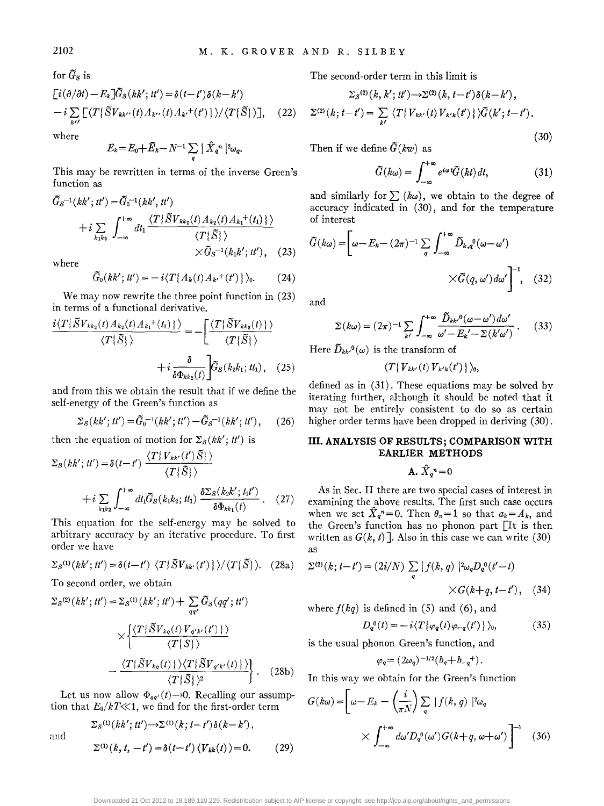for 
$$
\tilde{G}_S
$$
 is  
\n
$$
[i(\partial/\partial t) - E_k] \tilde{G}_S(kk'; t t') = \delta(t - t')\delta(k - k')
$$
\n
$$
-i \sum_{k''} \left[ \langle T\{\tilde{S}V_{kk''}(t) A_{k''}(t) A_{k'}^+(t')\} \rangle / \langle T\{\tilde{S}\} \rangle \right], \quad (22)
$$
\nwhere

where

$$
E_k = E_0 + \widetilde{E}_k - N^{-1} \sum_q |\widehat{X}_q|^n |^{2} \omega_q.
$$

This may be rewritten in terms of the inverse Green's function as

$$
\tilde{G}_{S}^{-1}(kk';\,t') = \tilde{G}_{0}^{-1}(kk',\,t') \n+ i \sum_{k_{1}k_{2}} \int_{-\infty}^{+\infty} dt_{1} \frac{\langle T\{\tilde{S}V_{kk_{2}}(t)A_{k_{2}}(t)A_{k_{1}}{}^{+}(t_{1})\}\rangle}{\langle T\{\tilde{S}\}\rangle} \n\times \tilde{G}_{S}^{-1}(k_{1}k';\,t'), \quad (23)
$$

where

$$
\widetilde{G}_0(kk';\,t') = -i\langle T\{A_k(t)A_{k'}^+(t')\}\rangle_0. \tag{24}
$$

We may now rewrite the three point function in (23) in terms of a functional derivative.

$$
\frac{i\langle T\{\widetilde{S}V_{kk_2}(t)A_{k_2}(t)A_{k_1}^+(t_1)\}\rangle}{\langle T\{\widetilde{S}\}\rangle} = -\left[\frac{\langle T\{\widetilde{S}V_{kk_2}(t)\}\rangle}{\langle T\{\widetilde{S}\}\rangle} + i\frac{\delta}{\delta\Phi_{kk_2}(t)}\right]\widetilde{G}_{S}(k_2k_1; t_1), \quad (25)
$$

and from this we obtain the result that if we define the self-energy of the Green's function as

$$
\Sigma_S(kk';\,t') = \tilde{G}_0^{-1}(kk';\,t') - \tilde{G}_S^{-1}(kk';\,t')\,,\qquad(26)
$$

then the equation of motion for  $\Sigma_{S}(kk'; t t')$  is

$$
\Sigma_{S}(kk';\,t') = \delta(t-t') \frac{\langle T\{V_{kk'}(t')S\}\rangle}{\langle T\{\tilde{S}\}\rangle} + i \sum_{k_1k_2} \int_{-\infty}^{+\infty} dt_1 \tilde{G}_S(k_1k_2;\,t t_1) \frac{\delta \Sigma_{S}(k_2k';\,t_1t')}{\delta \Phi_{kk_1}(t)}.
$$
 (27)

This equation for the self-energy may be solved to arbitrary accuracy by an iterative procedure. To first order we have

$$
\Sigma_S^{(1)}(kk';\,t') = \delta(t-t') \langle T\{\widetilde{S}V_{kk'}(t')\}\rangle/\langle T\{\widetilde{S}\}\rangle. \tag{28a}
$$

To second order, we obtain

$$
\Sigma_{S}^{(2)}(kk';\,t') = \Sigma_{S}^{(1)}(kk';\,t') + \sum_{qq'} \widetilde{G}_{S}(qq';\,t') \times \left\{ \frac{\langle T\{\widetilde{S}V_{kq}(t)V_{q'k'}(t')\}\rangle}{\langle T\{S\}\rangle} - \frac{\langle T\{\widetilde{S}V_{kq}(t)\}\rangle\langle T\{\widetilde{S}V_{q'k'}(t)\}\rangle}{\langle T\{\widetilde{S}\}\rangle^{2}} \right\}.
$$
 (28b)

Let us now allow  $\Phi_{qq'}(t) \rightarrow 0$ . Recalling our assumption that  $E_0/kT \ll 1$ , we find for the first-order term

 $\Sigma_{S}^{(1)}(kk'; t t') \rightarrow \Sigma^{(1)}(k; t-t') \delta(k-k'),$ 

and

$$
\Sigma^{(1)}(k, t, -t') = \delta(t-t') \langle V_{kk}(t) \rangle = 0. \tag{29}
$$

The second-order term in this limit is

$$
\Sigma_S^{(2)}(k, k'; t t') \rightarrow \Sigma^{(2)}(k, t-t') \delta(k-k'),
$$
  

$$
\Sigma^{(2)}(k; t-t') = \sum_{k'} \langle T\{V_{kk'}(t) V_{k'k}(t')\} \rangle \widetilde{G}(k'; t-t').
$$
 (30)

Then if we define  $\tilde{G}(kw)$  as

$$
\tilde{G}(k\omega) = \int_{-\infty}^{+\infty} e^{i\omega t} \tilde{G}(kt) dt,
$$
 (31)

and similarly for  $\sum (k\omega)$ , we obtain to the degree of accuracy indicated in (30), and for the temperature of interest

$$
\tilde{G}(k\omega) = \left[\omega - E_k - (2\pi)^{-1} \sum_q \int_{-\infty}^{+\infty} \tilde{D}_{k,q}^0(\omega - \omega')\right]
$$

$$
\times \tilde{G}(q, \omega') d\omega' \bigg]^{-1}, \quad (32)
$$

and

$$
\Sigma(k\omega) = (2\pi)^{-1} \sum_{k'} \int_{-\infty}^{+\infty} \frac{\tilde{D}_{kk'}(0\omega - \omega') d\omega'}{\omega' - E_{k'} - \Sigma(k'\omega')} . \tag{33}
$$

Here  $\tilde{D}_{kk'}^0(\omega)$  is the transform of

$$
\langle T\{V_{kk'}(t)V_{k'k}(t')\}\rangle_0,
$$

defined as in (31). These equations may be solved by iterating further, although it should be noted that it may not be entirely consistent to do so as certain higher order terms have been dropped in deriving (30).

### **III. ANALYSIS OF RESULTS; COMPARISON WITH EARLIER METHODS**

**A.**  $\hat{X}_a^n = 0$ 

As in Sec. II there are two special cases of interest in examining the above results. The first such case occurs when we set  $\hat{X}_q^{\eta}=0$ . Then  $\theta_n=1$  so that  $a_k=A_k$ , and the Green's function has no phonon part [It is then written as  $G(k, t)$ ]. Also in this case we can write (30) as

$$
\Sigma^{(2)}(k; t-t') = (2i/N) \sum_{q} |f(k,q)|^2 \omega_q D_q^{\,0}(t'-t)
$$
  
 
$$
\times G(k+q, t-t'), \quad (34)
$$

where  $f(kq)$  is defined in (5) and (6), and

$$
D_q^0(t) = -i \langle T\{\varphi_q(t)\varphi_{-q}(t')\}\rangle_0, \tag{35}
$$

is the usual phonon Green's function, and

$$
\varphi_q = (2\omega_q)^{-1/2} (b_q + b_{-q} +).
$$

In this way we obtain for the Green's function

$$
G(k\omega) = \left[\omega - E_k - \left(\frac{i}{\pi N}\right) \sum_q |f(k, q)|^2 \omega_q \right]
$$

$$
\times \int_{-\infty}^{+\infty} d\omega' D_q^0(\omega') G(k+q, \omega+\omega') \right]^{-1} (36)
$$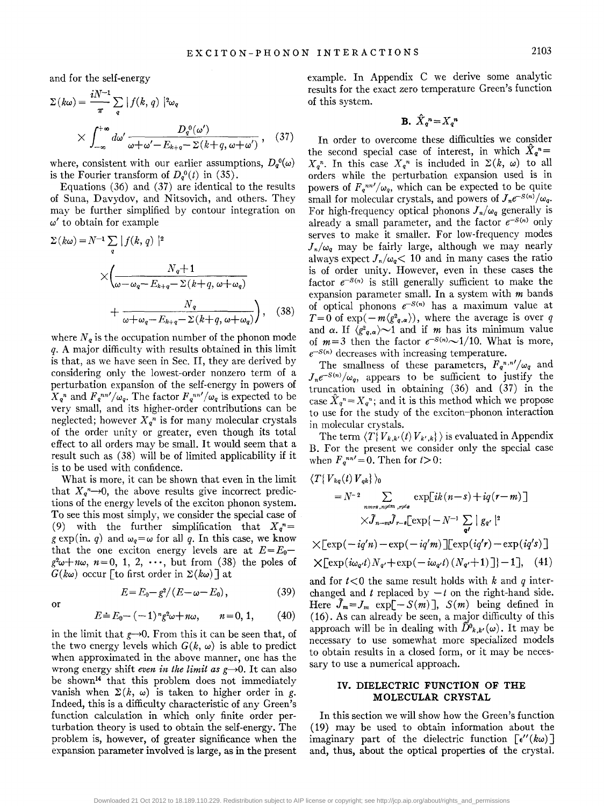and for the self-energy

$$
\Sigma(k\omega) = \frac{iN^{-1}}{\pi} \sum_{q} |f(k, q)|^2 \omega_q
$$
  
 
$$
\times \int_{-\infty}^{+\infty} d\omega' \frac{D_q^0(\omega')}{\omega + \omega' - E_{k+q} - \Sigma(k+q, \omega + \omega')} , \quad (37)
$$

where, consistent with our earlier assumptions,  $D_q^0(\omega)$ is the Fourier transform of  $D_q^0(t)$  in (35).

Equations (36) and (37) are identical to the results of Suna, Davydov, and Nitsovich, and others. They may be further simplified by contour integration on *w'* to obtain for example

$$
\Sigma(k\omega) = N^{-1} \sum_{q} |f(k,q)|^{2}
$$
  
 
$$
\times \left(\frac{N_{q}+1}{\omega - \omega_{q} - E_{k+q} - \Sigma(k+q, \omega + \omega_{q})} + \frac{N_{q}}{\omega + \omega_{q} - E_{k+q} - \Sigma(k+q, \omega + \omega_{q})}\right), \quad (38)
$$

where  $N<sub>g</sub>$  is the occupation number of the phonon mode *q.* A major difficulty with results obtained in this limit is that, as we have seen in Sec. II, they are derived by considering only the lowest-order nonzero term of a perturbation expansion of the self-energy in powers of  $X_q^n$  and  $F_q^{nn'}/\omega_q$ . The factor  $F_q^{nn'}/\omega_q$  is expected to be very small, and its higher-order contributions can be neglected; however  $X_q^n$  is for many molecular crystals of the order unity or greater, even though its total effect to all orders may be small. It would seem that a result such as (38) will be of limited applicability if it is to be used with confidence.

What is more, it can be shown that even in the limit that  $X_q^n \rightarrow 0$ , the above results give incorrect predictions of the energy levels of the exciton phonon system. To see this most simply, we consider the special case of (9) with the further simplification that  $X_q^n=$  $g \exp(\text{in. } q)$  and  $\omega_q = \omega$  for all q. In this case, we know that the one exciton energy levels are at  $E = E_0$  $g^2\omega + n\omega$ ,  $n=0, 1, 2, \cdots$ , but from (38) the poles of  $G(k\omega)$  occur [to first order in  $\Sigma(k\omega)$ ] at

$$
\overline{\text{or}}
$$

$$
E = E_0 - g^2 / (E - \omega - E_0), \tag{39}
$$

$$
E = E_0 - (-1)^n g^2 \omega + n \omega, \qquad n = 0, 1, \qquad (40)
$$

in the limit that  $g\rightarrow 0$ . From this it can be seen that, of the two energy levels which  $G(k, \omega)$  is able to predict when approximated in the above manner, one has the wrong energy shift *even in the limit as*  $g \rightarrow 0$ *.* It can also be shown<sup>14</sup> that this problem does not immediately vanish when  $\Sigma(k, \omega)$  is taken to higher order in g. Indeed, this is a difficulty characteristic of any Green's function calculation in which only finite order perturbation theory is used to obtain the self-energy. The problem is, however, of greater significance when the expansion parameter involved is large, as in the present example. In Appendix C we derive some analytic results for the exact zero temperature Green's function of this system.

### **B.**  $\hat{X}_a^n = X_a^n$

In order to overcome these difficulties we consider the second special case of interest, in which  $X_q^n=$  $X_a^n$ . In this case  $X_a^n$  is included in  $\Sigma(k, \omega)$  to all orders while the perturbation expansion used is in powers of  $F_a^{nn'}/\omega_a$ , which can be expected to be quite small for molecular crystals, and powers of  $J_n e^{-S(n)}/\omega_q$ . For high-frequency optical phonons  $J_n/\omega_q$  generally is already a small parameter, and the factor  $e^{-S(n)}$  only serves to make it smaller. For low-frequency modes  $J_n/\omega_q$  may be fairly large, although we may nearly always expect  $J_n/\omega_q < 10$  and in many cases the ratio is of order unity. However, even in these cases the factor  $e^{-S(n)}$  is still generally sufficient to make the expansion parameter small. In a system with *m* bands of optical phonons *e-S(n)* has a maximum value at  $T=0$  of  $\exp(-m\langle g^2_{q,a}\rangle)$ , where the average is over *q* and  $\alpha$ . If  $\langle g^2 q_{,\alpha} \rangle$   $\sim$  1 and if *m* has its minimum value of  $m=3$  then the factor  $e^{-S(n)} \sim 1/10$ . What is more, *e-S(n)* decreases with increasing temperature.

The smallness of these parameters,  $F_q^{n,n'}/\omega_q$  and  $J_n e^{-S(n)}/\omega_q$ , appears to be sufficient to justify the truncation used in obtaining (36) and (37) in the case  $\hat{X}_q = X_q$ ; and it is this method which we propose to use for the study of the exciton-phonon interaction in molecular crystals.

The term  $\langle T\{V_{k,k'}(t)V_{k',k}\}\rangle$  is evaluated in Appendix B. For the present we consider only the special case when  $F_q^{nn'}=0$ . Then for  $t>0$ :

$$
\langle T\{V_{kq}(t)V_{qk}\}\rangle_{0}
$$
\n
$$
= N^{-2} \sum_{nmrs, n \neq m, r \neq s} \exp[ik(n-s) + iq(r-m)]
$$
\n
$$
\times \tilde{J}_{n-m} \tilde{J}_{r-s}[\exp\{-N^{-1} \sum_{q'} |g_{q'}|^2\}]
$$
\n
$$
\times [\exp(-iq'n) - \exp(-iq'm)][\exp(iq'r) - \exp(iq's)]
$$
\n
$$
\times [\exp(i\omega_{q'}t)N_{q'} + \exp(-i\omega_{q'}t) (N_{q'}+1)]\} - 1], \quad (41)
$$

and for *t<O* the same result holds with *k* and *q* interchanged and *t* replaced by  $-t$  on the right-hand side. Here  $\bar{J}_m = J_m \exp[-S(m)]$ ,  $S(m)$  being defined in (16). As can already be seen, a major difficulty of this approach will be in dealing with  $\bar{D}^0_{k,k'}(\omega)$ . It may be necessary to use somewhat more specialized models to obtain results in a closed form, or it may be necessary to use a numerical approach.

### **IV. DIELECTRIC FUNCTION OF THE MOLECULAR CRYSTAL**

In this section we will show how the Green's function (19) may be used to obtain information about the imaginary part of the dielectric function  $\lceil \epsilon''(k\omega) \rceil$ and, thus, about the optical properties of the crystal.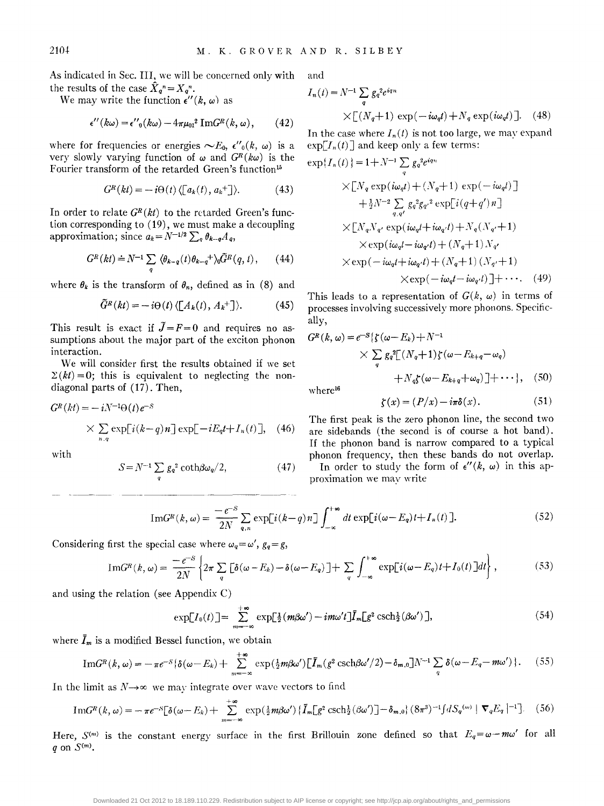As indicated in Sec. III, we will be concerned only with the results of the case  $\hat{X}_q^n = X_q^n$ .

We may write the function  $\epsilon''(k, \omega)$  as

$$
^{\prime\prime}(k\omega) = \epsilon^{\prime\prime}{}_{0}(k\omega) - 4\pi\mu_{01}^{2}\operatorname{Im}G^{R}(k,\omega), \qquad (42)
$$

where for frequencies or energies  $\sim E_0$ ,  $\epsilon''_0(k, \omega)$  is a very slowly varying function of  $\omega$  and  $G^R(k\omega)$  is the Fourier transform of the retarded Green's function<sup>15</sup>

$$
G^{R}(kt) = -i\Theta(t)\langle [a_{k}(t), a_{k}+]\rangle.
$$
 (43)

In order to relate  $G^R(kt)$  to the retarded Green's function corresponding to (19), we must make a decoupling approximation; since  $a_k = N^{-1/2} \sum_q \theta_{k-q} A_q$ ,

$$
G^{R}(kt) \doteq N^{-1} \sum_{q} \langle \theta_{k-q}(t) \theta_{k-q}^{+} \rangle_{0} \tilde{G}^{R}(q, t), \qquad (44)
$$

where  $\theta_k$  is the transform of  $\theta_n$ , defined as in (8) and

$$
\tilde{G}^{R}(kt) = -i\Theta(t)\langle[A_{k}(t), A_{k}^{+}]\rangle. \tag{45}
$$

This result is exact if  $\tilde{J} = F = 0$  and requires no assumptions about the major part of the exciton phonon interaction.

We will consider first the results obtained if we set  $\Sigma (kt) = 0$ ; this is equivalent to neglecting the nondiagonal parts of (17). Then,

$$
G^{R}(kt) = -iN^{-1}\Theta(t)e^{-S}
$$
  
 
$$
\times \sum_{n,q} \exp[i(k-q)n] \exp[-iE_{q}t+I_{n}(t)], \quad (46)
$$

with

$$
S = N^{-1} \sum_{q} g_q^2 \coth \beta \omega_q / 2,
$$
 (47)

and

$$
I_n(t) = N^{-1} \sum_{q} g_q^2 e^{iqn}
$$
  
 
$$
\times \left[ (N_q + 1) \exp(-i\omega_q t) + N_q \exp(i\omega_q t) \right].
$$
 (48)

In the case where  $I_n(t)$  is not too large, we may expand  $\exp\left[I_n(t)\right]$  and keep only a few terms:

$$
\exp\{I_n(t)\} = 1 + N^{-1} \sum_{q} g_q^2 e^{iqn}
$$
  
\n
$$
\times [N_q \exp(i\omega_q t) + (N_q + 1) \exp(-i\omega_q t)]
$$
  
\n
$$
+ \frac{1}{2} N^{-2} \sum_{q,q'} g_q^2 g_{q'}^2 \exp[i(q+q')n]
$$
  
\n
$$
\times [N_q N_{q'} \exp(i\omega_q t + i\omega_q t) + N_q (N_{q'} + 1)
$$
  
\n
$$
\times \exp(i\omega_q t - i\omega_q t) + (N_q + 1) N_{q'}
$$
  
\n
$$
\times \exp(-i\omega_q t + i\omega_q t) + (N_q + 1) (N_{q'} + 1)
$$
  
\n
$$
\times \exp(-i\omega_q t - i\omega_q t)] + \cdots
$$
 (49)

This leads to a representation of  $G(k, \omega)$  in terms of processes involving successively more phonons. Specifically,

$$
G^{R}(k,\omega) = e^{-S} \{ \zeta(\omega - E_{k}) + N^{-1} \times \sum_{q} g_{q}^{2} \zeta(N_{q} + 1) \zeta(\omega - E_{k+q} - \omega_{q}) + N_{q} \zeta(\omega - E_{k+q} + \omega_{q}) \} + \cdots \}, \quad (50)
$$

where<sup>16</sup>

$$
\zeta(x) = (P/x) - i\pi\delta(x). \tag{51}
$$

The first peak is the zero phonon line, the second two are sidebands (the second is of course a hot band). If the phonon band is narrow compared to a typical phonon frequency, then these bands do not overlap.

In order to study the form of  $\epsilon''(k, \omega)$  in this approximation we may write

$$
\text{Im}G^{R}(k,\omega) = \frac{-e^{-S}}{2N} \sum_{q,n} \exp[i(k-q)n] \int_{-\infty}^{+\infty} dt \exp[i(\omega - E_{q})t + I_{n}(t)].
$$
\n(52)

Considering first the special case where  $\omega_q = \omega'$ ,  $g_q = g$ ,

$$
\text{Im}G^{R}(k,\omega) = \frac{-e^{-S}}{2N} \left\{ 2\pi \sum_{q} \left[ \delta(\omega - E_{k}) - \delta(\omega - E_{q}) \right] + \sum_{q} \int_{-\infty}^{+\infty} \exp[i(\omega - E_{q})t + I_{0}(t)]dt \right\},
$$
(53)

and using the relation (see Appendix C)

$$
\exp[I_0(t)] = \sum_{m=-\infty}^{+\infty} \exp[\frac{1}{2}(m\beta\omega') - im\omega' t]\overline{I}_m[g^2 \operatorname{csch}^1_{\overline{2}}(\beta\omega')],\tag{54}
$$

where  $\bar{I}_m$  is a modified Bessel function, we obtain

$$
\mathrm{Im}G^{R}(k,\omega) = -\pi e^{-S}\{\delta(\omega - E_{k}) + \sum_{m=-\infty}^{+\infty} \exp(\frac{1}{2}m\beta\omega')\big[\bar{I}_{m}(g^{2}\cosh\beta\omega'/2) - \delta_{m,0}\big]N^{-1}\sum_{q}\delta(\omega - E_{q} - m\omega')\}.
$$
 (55)

In the limit as  $N \rightarrow \infty$  we may integrate over wave vectors to find

$$
\mathrm{Im}G^{R}(k,\omega) = -\pi e^{-S} \left[ \delta(\omega - E_{k}) + \sum_{m=-\infty}^{+\infty} \exp\left(\frac{1}{2} m \beta \omega'\right) \left\{ \bar{I}_{m} \left[ g^{2} \operatorname{csch}_{2}^{1}(\beta \omega') \right] - \delta_{m,0} \right\} (8\pi^{3})^{-1} \left\{ dS_{q}^{(m)} \mid \nabla_{q} E_{q} \right\}^{-1} \right\}.
$$
 (56)

Here,  $S^{(m)}$  is the constant energy surface in the first Brillouin zone defined so that  $E_q = \omega - m\omega'$  for all  $q$  on  $S^{(m)}$ .

 $\epsilon$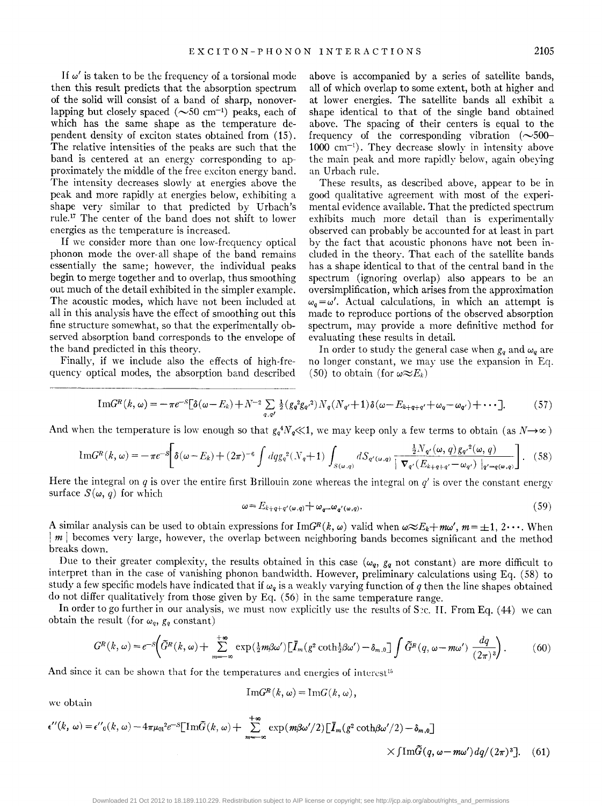If  $\omega'$  is taken to be the frequency of a torsional mode then this result predicts that the absorption spectrum of the solid will consist of a band of sharp, nonoverlapping but closely spaced ( $\sim 50$  cm<sup>-1</sup>) peaks, each of which has the same shape as the temperature dependent density of exciton states obtained from (15). The relative intensities of the peaks are such that the band is centered at an energy corresponding to approximately the middle of the free exciton energy band. The intensity decreases slowly at energies above the peak and more rapidly at energies below, exhibiting a shape very similar to that predicted by Urbach's rule.<sup>17</sup> The center of the band does not shift to lower energies as the temperature is increased.

If we consider more than one low-frequency optical phonon mode the over-all shape of the band remains essentially the same; however, the individual peaks begin to merge together and to overlap, thus smoothing out much of the detail exhibited in the simpler example. The acoustic modes, which have not been included at all in this analysis have the effect of smoothing out this fine structure somewhat, so that the experimentally observed absorption band corresponds to the envelope of the band predicted in this theory.

Finally, if we include also the effects of high-frequency optical modes, the absorption band described above is accompanied by a series of satellite bands, all of which overlap to some extent, both at higher and at lower energies. The satellite bands all exhibit a shape identical to that of the single band obtained above. The spacing of their centers is equal to the frequency of the corresponding vibration  $(\sim 500 1000 \text{ cm}^{-1}$ . They decrease slowly in intensity above the main peak and more rapidly below, again obeying an Urbach rule.

These results, as described above, appear to be in good qualitative agreement with most of the experimental evidence available. That the predicted spectrum exhibits much more detail than is experimentally observed can probably be accounted for at least in part by the fact that acoustic phonons have not been included in the theory. That each of the satellite bands has a shape identical to that of the central band in the spectrum (ignoring overlap) also appears to be an oversimplification, which arises from the approximation  $\omega_q = \omega'$ . Actual calculations, in which an attempt is made to reproduce portions of the observed absorption spectrum, may provide a more definitive method for evaluating these results in detail.

In order to study the general case when  $g_q$  and  $\omega_q$  are no longer constant, we may use the expansion in Eq. (50) to obtain (for  $\omega \approx E_k$ )

Im
$$
G^R(k,\omega) = -\pi e^{-S}[\delta(\omega - E_k) + N^{-2} \sum_{q,q'} \frac{1}{2} (g_q^2 g_{q'}^2) N_q (N_{q'}+1) \delta(\omega - E_{k+q+q'} + \omega_q - \omega_{q'}) + \cdots].
$$
 (57)

And when the temperature is low enough so that  $g_4^4N_g\ll 1$ , we may keep only a few terms to obtain (as  $N\rightarrow\infty$ )

$$
\mathrm{Im}G^{R}(k,\omega) = -\pi e^{-S} \bigg[ \delta(\omega - E_{k}) + (2\pi)^{-6} \int d\theta g_{q}^{2}(N_{q}+1) \int_{S(\omega,q)} dS_{q'(\omega,q)} \frac{\frac{1}{2}N_{q'}(\omega,q)g_{q'}^{2}(\omega,q)}{\mid \nabla_{q'}(E_{k+q+q'}-\omega_{q'})\mid_{q'=q(\omega,q)}} \bigg]. \tag{58}
$$

Here the integral on *q* is over the entire first Brillouin zone whereas the integral on *q'* is over the constant energy surface  $S(\omega, q)$  for which

$$
\omega = E_{k+q+q'(\omega,q)} + \omega_{q^{-1}}\omega_{q'(\omega,q)}.
$$
\n<sup>(59)</sup>

A similar analysis can be used to obtain expressions for  $\text{Im}G^R(k,\omega)$  valid when  $\omega \approx E_k+m\omega'$ ,  $m=\pm 1, 2 \cdots$ . When ! *m* I becomes very large, however, the overlap between neighboring bands becomes significant and the method breaks down.

Due to their greater complexity, the results obtained in this case  $(\omega_q, g_q$  not constant) are more difficult to interpret than in the case of vanishing phonon bandwidth. However, preliminary calculations using Eq. (58) to study a few specific models have indicated that if  $\omega_q$  is a weakly varying function of  $q$  then the line shapes obtained do not differ qualitatively from those given by Eq. (56) in the same temperature range.

In order to go further in our analysis, we must now explicitly use the results of Sec. II. From Eq. (44) we can obtain the result (for  $\omega_q$ ,  $g_q$  constant)

$$
G^{R}(k,\omega) = e^{-S} \left( \tilde{G}^{R}(k,\omega) + \sum_{m=-\infty}^{+\infty} \exp(\frac{1}{2}m\beta\omega') \left[ \bar{I}_{m}(g^{2}\coth\frac{1}{2}\beta\omega') - \delta_{m,0} \right] \int \tilde{G}^{R}(q,\omega - m\omega') \frac{dq}{(2\pi)^{3}} \right). \tag{60}
$$

And since it can be shown that for the temperatures and energies of interest<sup>15</sup>

$$
\mathrm{Im}G^{R}(k,\omega)=\mathrm{Im}G(k,\omega),
$$

we obtain

$$
\epsilon''(k,\,\omega) = \epsilon''_0(k,\,\omega) - 4\pi\mu_0^2 e^{-S} \Big[ \text{Im}\tilde{G}(k,\,\omega) + \sum_{m=-\infty}^{+\infty} \exp(m\beta\omega'/2) \Big[ \bar{I}_m(g^2 \coth\beta\omega'/2) - \delta_{m,0} \Big] \times \int \text{Im}\tilde{G}(q,\,\omega - m\omega') \,dq/(2\pi)^3 \Big]. \tag{61}
$$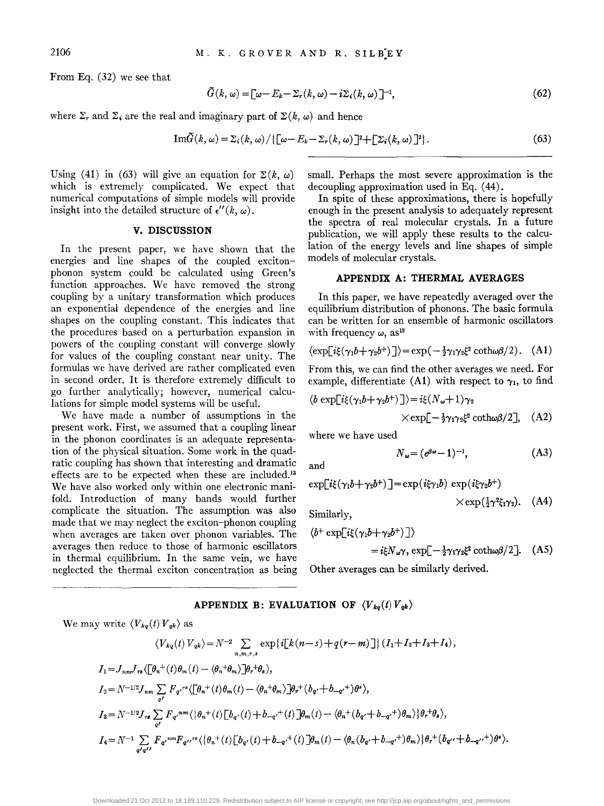From Eq. (32) we see that

$$
\tilde{G}(k,\omega) = \left[\omega - E_k - \Sigma_r(k,\omega) - i\Sigma_i(k,\omega)\right]^{-1},\tag{62}
$$

where  $\Sigma_r$  and  $\Sigma_i$  are the real and imaginary part of  $\Sigma(k, \omega)$  and hence

$$
\operatorname{Im}\tilde{G}(k,\omega)=\Sigma_i(k,\omega)/\{\left[\omega-E_k-\Sigma_r(k,\omega)\right]^2+\left[\Sigma_i(k,\omega)\right]^2\}.
$$
 (63)

Using (41) in (63) will give an equation for  $\Sigma(k, \omega)$ which is extremely complicated. We expect that numerical computations of simple models will provide insight into the detailed structure of  $\epsilon''(k, \omega)$ .

#### **V. DISCUSSION**

In the present paper, we have shown that the energies and line shapes of the coupled excitonphonon system could be calculated using Green's function approaches. We have removed the strong coupling by a unitary transformation which produces an exponential dependence of the energies and line shapes on the coupling constant. This indicates that the procedures based on a perturbation expansion in powers of the coupling constant will converge slowly for values of the coupling constant near unity. The formulas we have derived are rather complicated even in second order. It is therefore extremely difficult to go further analytically; however, numerical calculations for simple model systems will be useful.

We have made a number of assumptions in the present work. First, we assumed that a coupling linear in the phonon coordinates is an adequate representation of the physical situation. Some work in the quadratic coupling has shown that interesting and dramatic effects are to be expected when these are included.<sup>13</sup> We have also worked only within one electronic manifold. Introduction of many bands would further complicate the situation. The assumption was also made that we may neglect the exciton-phonon coupling when averages are taken over phonon variables. The averages then reduce to those of harmonic oscillators in thermal equilibrium. In the same vein, we have neglected the thermal exciton concentration as being small. Perhaps the most severe approximation is the decoupling approximation used in Eq. (44).

In spite of these approximations, there is hopefully enough in the present analysis to adequately represent the spectra of real molecular crystals. In a future publication, we will apply these results to the calculation of the energy levels and line shapes of simple models of molecular crystals.

### **APPENDIX A: THERMAL AVERAGES**

In this paper, we have repeatedly averaged over the equilibrium distribution of phonons. The basic formula can be written for an ensemble of harmonic oscillators with frequency  $\omega$ , as<sup>18</sup>

$$
\langle \exp[i\xi(\gamma_1 b + \gamma_2 b^+)] \rangle = \exp(-\frac{1}{2}\gamma_1 \gamma_2 \xi^2 \coth \omega \beta / 2). \quad (A1)
$$

From this, we can find the other averages we need. For example, differentiate (A1) with respect to  $\gamma_1$ , to find

$$
\langle b \exp[i\xi(\gamma_1 b + \gamma_2 b^+) \rangle] = i\xi(N_\omega + 1)\gamma_2
$$

$$
\times \exp[-\frac{1}{2}\gamma_1\gamma_2\xi^2\coth\omega\beta/2], \quad (A2)
$$

where we have used

$$
N_{\omega} = (e^{\beta \omega} - 1)^{-1}, \tag{A3}
$$

 $\exp[i\xi(\gamma_1b+\gamma_2b^+)]=\exp(i\xi\gamma_1b)\exp(i\xi\gamma_2b^+)$ 

 $\times$  exp( $\frac{1}{2}\gamma^2 \xi_1 \gamma_2$ ). (A4)

Similarly,

and

$$
\langle b^+ \exp[i\xi(\gamma_1 b + \gamma_2 b^+)] \rangle
$$
  
=  $i\xi N_\omega \gamma$ ,  $\exp[-\frac{1}{2}\gamma_1 \gamma_2 \xi^2 \coth(\omega \beta/2)]$ . (A5)

Other averages can be similarly derived.

### APPENDIX **B:** EVALUATION OF  $\langle V_{kq}(t) V_{qk} \rangle$

We may write  $\langle V_{kq}(t) V_{qk} \rangle$  as

$$
\langle V_{kq}(t) V_{qk} \rangle = N^{-2} \sum_{n,m,r,s} \exp\{i[k(n-s) + q(r-m)]\} (I_1 + I_2 + I_3 + I_4),
$$
  
\n
$$
I_1 = J_{nm} J_{rs} \langle [\theta_n^+(t) \theta_m(t) - \langle \theta_n^+ \theta_m \rangle] \theta_r^+ \theta_s \rangle,
$$
  
\n
$$
I_2 = N^{-1/2} J_{nm} \sum_{q'} F_{q'}{}^{rs} \langle [\theta_n^+(t) \theta_m(t) - \langle \theta_n^+ \theta_m \rangle] \theta_r^+ (b_{q'} + b_{-q'} + \rangle \theta^s \rangle,
$$
  
\n
$$
I_3 = N^{-1/2} J_{rs} \sum_{q'} F_{q'}{}^{nm} \langle \{ \theta_n^+(t) [b_{q'}(t) + b_{-q'}{}^+(t) ] \theta_m(t) - \langle \theta_n^+(b_{q'} + b_{-q'}{}^+) \theta_m \rangle \} \theta_r^+ \theta_s \rangle,
$$
  
\n
$$
I_4 = N^{-1} \sum_{q'q''} F_{q'}{}^{nm} F_{q'}{}^{rs} \langle \{ \theta_n^+(t) [b_{q'}(t) + b_{-q'}{}^+(t) ] \theta_m(t) - \langle \theta_n(b_{q'} + b_{-q'}{}^+) \theta_m \rangle \} \theta_r^+ (b_{q'} + b_{-q'}{}^+) \theta^s \rangle.
$$

Downloaded 21 Oct 2012 to 18.189.110.229. Redistribution subject to AIP license or copyright; see http://jcp.aip.org/about/rights\_and\_permissions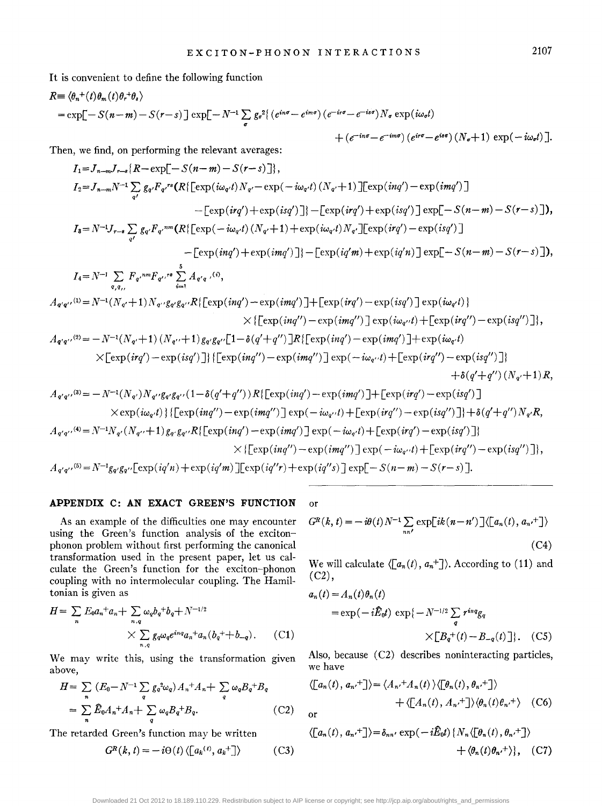It is convenient to define the following function

$$
R = \langle \theta_n + (t) \theta_m(t) \theta_r + \theta_s \rangle
$$
  
=  $\exp[-S(n-m) - S(r-s)] \exp[-N^{-1} \sum_{\sigma} g_{\sigma}^2 \{ (e^{in\sigma} - e^{im\sigma}) (e^{-ir\sigma} - e^{-is\sigma}) N_{\sigma} \exp(i\omega_{\sigma}t) + (e^{-in\sigma} - e^{-im\sigma}) (e^{ir\sigma} - e^{is\sigma}) (N_{\sigma} + 1) \exp(-i\omega_{\sigma}t) \}].$ 

Then, we find, on performing the relevant averages:

$$
I_{1}=J_{n-m}J_{r-s}\{R-\exp[-S(n-m)-S(r-s)]\},
$$
\n
$$
I_{2}=J_{n-m}N^{-1}\sum_{q'}g_{q'}F_{q'}^{rs}(R\{[\exp(i\omega_{q'}t)N_{q'}-\exp(-i\omega_{q'}t)(N_{q'}+1)][\exp(i\eta q')-\exp(i\eta q')]\}-[\exp(i\eta q')+\exp(i\eta q')]\} -[\exp(i\eta q')+\exp(i\eta q')]\} -[\exp(i\eta q')+\exp(i\omega_{q'}t)N_{q'}][\exp(i\eta q')-\exp(i\eta q')]\} -[\exp(i\eta q')+\exp(i\eta q')]\} -[\exp(i\eta q')+\exp(i\eta q')]\} -[\exp(i\eta q')+\exp(i\eta q')]\exp[-S(n-m)-S(r-s)]),
$$
\n
$$
I_{4}=N^{-1}\sum_{q,q,r}F_{q'}^{nm}F_{q'}^{rs}\sum_{i=1}^{5}A_{q'q'}^{(i)},
$$
\n
$$
A_{q'q'}^{(i)}=N^{-1}(N_{q'}+1)N_{q'}g_{q'}g_{q'}R\{[\exp(i\eta q')-\exp(i\eta q')]+\left[\exp(i\eta q')-\exp(i\eta q')\right]\} -[\exp(i\omega_{q'}t)]\exp(i\omega_{q'}t)\} -\times[\exp(i\eta q')-\exp(i\eta q'')]\exp(i\omega_{q'}t)+[\exp(i\eta q')-\exp(i\eta q'')]\},
$$
\n
$$
A_{q'q''}^{(i)}=N^{-1}(N_{q'}+1)(N_{q'}+1)g_{q'}g_{q''}\left[1-\delta(q'+q'')\right]R\{\left[\exp(i\eta q')-\exp(i\eta q')\right]+\exp(i\omega_{q'}t)\} -\times\exp(i\eta q')\} +\delta(q'+q'')(N_{q'}+1)R,
$$
\n
$$
A_{q'q''}^{(i)}=N^{-1}(N_{q'}N_{q'}g_{q'}g_{q''}(1-\delta(q'+q''))R\{\left[\exp(i\eta q')-\exp(i\eta q')\right]\} +[\exp(i\eta q')-\exp(i\eta q')]\} +\delta(q'+q'')(N_{q'}+1)R,
$$
\n
$$
A_{q'q''}^{(i)}=N^{-1}(N_{q'}N_{q''}g_{q''}^{(i)}-(\delta(q'+q''))R\{\left[\exp(i\eta q')-\exp(i\eta q')\right]+\left[\exp
$$

$$
\times \left\{ \left[ \exp(i n q'') - \exp(i m q'') \right] \exp(-i \omega_{q'} t) + \left[ \exp(i r q'') - \exp(i s q'') \right] \right\},\
$$

 $A_{q'q''}(5) = N^{-1}g_{q'}g_{q''}[\exp(iq'n) + \exp(iq'm)][\exp(iq''r) + \exp(iq''s)] \exp[-S(n-m) - S(r-s)].$ 

### **APPENDIX** C: **AN EXACT GREEN'S FUNCTION**

As an example of the difficulties one may encounter using the Green's function analysis of the excitonphonon problem without first performing the canonical transformation used in the present paper, let us calculate the Green's function for the exciton-phonon coupling with no intermolecular coupling. The Hamiltonian is given as

$$
H = \sum_{n} E_0 a_n + a_n + \sum_{n,q} \omega_q b_q + b_q + N^{-1/2}
$$
  
 
$$
\times \sum_{n,q} g_q \omega_q e^{inq} a_n + a_n (b_q + b_{-q}). \qquad (C1)
$$

We may write this, using the transformation given above,

$$
H = \sum_{n} (E_0 - N^{-1} \sum_{q} g_q^2 \omega_q) A_n^+ A_n + \sum_{q} \omega_q B_q^+ B_q
$$
  
= 
$$
\sum_{n} \widehat{E}_0 A_n^+ A_n + \sum_{q} \omega_q B_q^+ B_q.
$$
 (C2)

The retarded Green's function may be written

$$
G^{R}(k, t) = -i\Theta(t) \langle [a_{k}^{(t)}, a_{k}^{+}] \rangle \qquad (C3)
$$

$$
\alpha
$$

$$
G^{R}(k, t) = -i\theta(t) N^{-1} \sum_{nn'} \exp[i k(n-n')] \langle [a_{n}(t), a_{n'}+]\rangle
$$
\n(C4)

We will calculate  $\langle [a_n(t), a_n^+] \rangle$ . According to (11) and (C2),

$$
a_n(t) = A_n(t)\theta_n(t)
$$
  
=  $\exp(-i\tilde{E}_0t) \exp\{-N^{-1/2}\sum_q r^{inq}g_q$   
 $\times [B_q^+(t) - B_{-q}(t)]\}$ . (C5)

Also, because (C2) describes noninteracting particles, we have

$$
\langle [a_n(t), a_{n'}^+] \rangle = \langle A_{n'}^+ A_n(t) \rangle \langle [b_n(t), \theta_{n'}^+] \rangle
$$
  
+ 
$$
\langle [A_n(t), A_{n'}^+] \rangle \langle \theta_n(t) \theta_{n'}^+ \rangle
$$
 (C6)

or

1 Green's function may be written\n
$$
\langle \lbrack a_n(t), a_{n'}\rbrack \rbrack = \delta_{nn'} \exp(-i\hat{E}_0 t) \{ N_n \langle \lbrack \theta_n(t), \theta_{n'}\rbrack \} \rangle
$$
\n
$$
G^R(k, t) = -i\Theta(t) \langle \lbrack a_k(t), a_k\rbrack \rbrack \rangle \qquad \qquad \langle C3 \rangle
$$
\n
$$
\langle E^R(k, t) \rangle = \delta_{nn'} \exp(-i\hat{E}_0 t) \{ N_n \langle \lbrack \theta_n(t), \theta_{n'}\rbrack \} \rangle \qquad \qquad \langle C7 \rangle
$$

Downloaded 21 Oct 2012 to 18.189.110.229. Redistribution subject to AIP license or copyright; see http://jcp.aip.org/about/rights\_and\_permissions